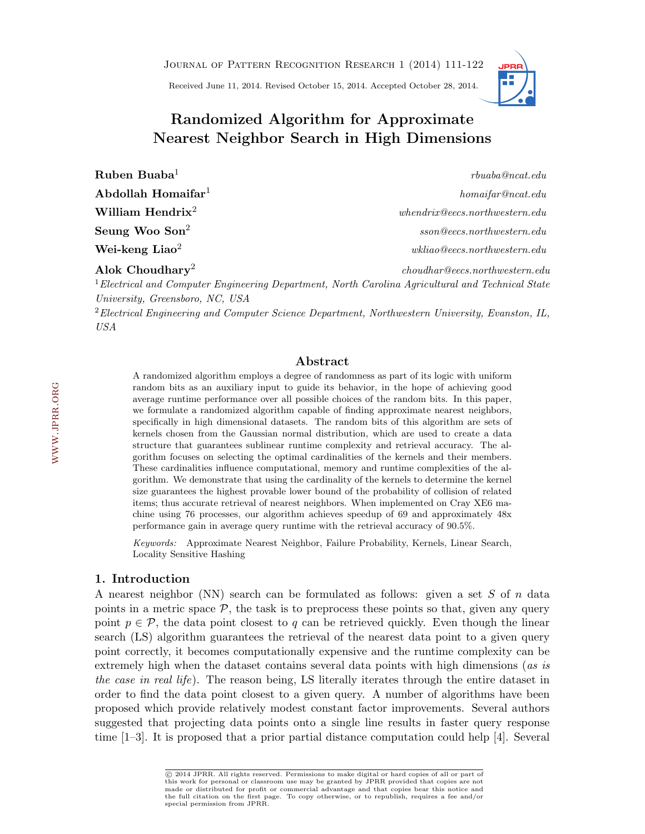Journal of Pattern Recognition Research 1 (2014) 111[-122](#page-11-0)

Received June 11, 2014. Revised October 15, 2014. Accepted October 28, 2014.



# Randomized Algorithm for Approximate Nearest Neighbor Search in High Dimensions

| $\rm Ruben\ Buaba^1$                                                                                   | rbuaba@ncat.edu                          |
|--------------------------------------------------------------------------------------------------------|------------------------------------------|
| $\bf A \bf b$ dollah $\bf H$ omaifar $^{\rm l}$                                                        | homaifar@ncat.edu                        |
| William Hendrix <sup>2</sup>                                                                           | when drix@eecs. northwestern.edu         |
| Seung Woo Son $^2$                                                                                     | sson@eecs.northwestern.edu               |
| Wei-keng Liao $^2\,$                                                                                   | $wkliao\mathcal{Q}eecs.northwestern.edu$ |
| Alok Choudhary <sup>2</sup>                                                                            | choudhar@eecs.northwestern.edu           |
| $^{-1}$ Electrical and Computer Engineering Department North Caroling Agricultural and Technical State |                                          |

<sup>1</sup>Electrical and Computer Engineering Department, North Carolina Agricultural and Technical State University, Greensboro, NC, USA

<sup>2</sup>Electrical Engineering and Computer Science Department, Northwestern University, Evanston, IL, USA

# Abstract

A randomized algorithm employs a degree of randomness as part of its logic with uniform random bits as an auxiliary input to guide its behavior, in the hope of achieving good average runtime performance over all possible choices of the random bits. In this paper, we formulate a randomized algorithm capable of finding approximate nearest neighbors, specifically in high dimensional datasets. The random bits of this algorithm are sets of kernels chosen from the Gaussian normal distribution, which are used to create a data structure that guarantees sublinear runtime complexity and retrieval accuracy. The algorithm focuses on selecting the optimal cardinalities of the kernels and their members. These cardinalities influence computational, memory and runtime complexities of the algorithm. We demonstrate that using the cardinality of the kernels to determine the kernel size guarantees the highest provable lower bound of the probability of collision of related items; thus accurate retrieval of nearest neighbors. When implemented on Cray XE6 machine using 76 processes, our algorithm achieves speedup of 69 and approximately 48x performance gain in average query runtime with the retrieval accuracy of 90.5%.

Keywords: Approximate Nearest Neighbor, Failure Probability, Kernels, Linear Search, Locality Sensitive Hashing

# 1. Introduction

A nearest neighbor (NN) search can be formulated as follows: given a set S of n data points in a metric space  $P$ , the task is to preprocess these points so that, given any query point  $p \in \mathcal{P}$ , the data point closest to q can be retrieved quickly. Even though the linear search (LS) algorithm guarantees the retrieval of the nearest data point to a given query point correctly, it becomes computationally expensive and the runtime complexity can be extremely high when the dataset contains several data points with high dimensions (as is the case in real life). The reason being, LS literally iterates through the entire dataset in order to find the data point closest to a given query. A number of algorithms have been proposed which provide relatively modest constant factor improvements. Several authors suggested that projecting data points onto a single line results in faster query response time [\[1](#page-10-0)[–3\]](#page-10-1). It is proposed that a prior partial distance computation could help [\[4\]](#page-10-2). Several

c 2014 JPRR. All rights reserved. Permissions to make digital or hard copies of all or part of this work for personal or classroom use may be granted by JPRR provided that copies are not made or distributed for profit or commercial advantage and that copies bear this notice and the full citation on the first page. To copy otherwise, or to republish, requires a fee and/or special permission from JPRR.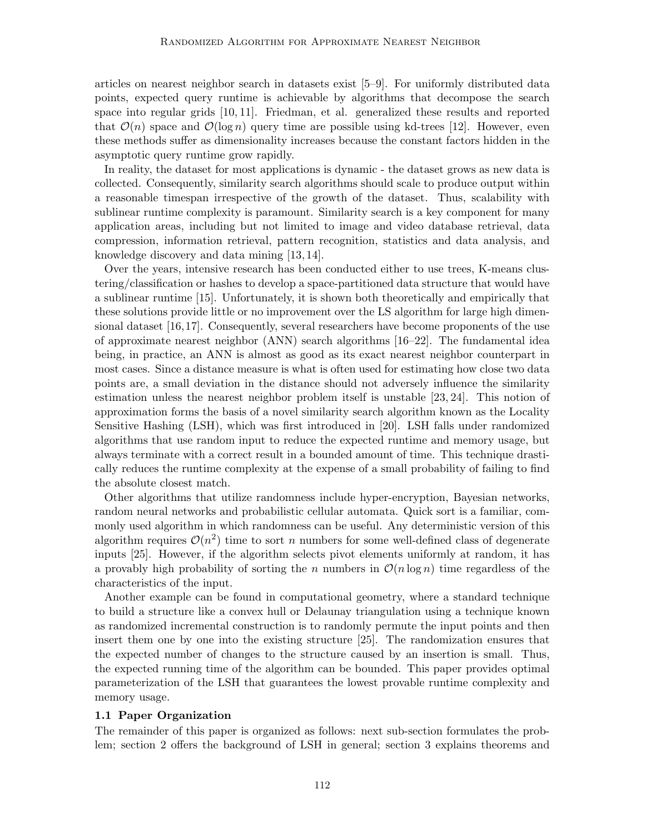articles on nearest neighbor search in datasets exist [\[5–](#page-10-3)[9\]](#page-10-4). For uniformly distributed data points, expected query runtime is achievable by algorithms that decompose the search space into regular grids [\[10,](#page-10-5) [11\]](#page-10-6). Friedman, et al. generalized these results and reported that  $\mathcal{O}(n)$  space and  $\mathcal{O}(\log n)$  query time are possible using kd-trees [\[12\]](#page-10-7). However, even these methods suffer as dimensionality increases because the constant factors hidden in the asymptotic query runtime grow rapidly.

In reality, the dataset for most applications is dynamic - the dataset grows as new data is collected. Consequently, similarity search algorithms should scale to produce output within a reasonable timespan irrespective of the growth of the dataset. Thus, scalability with sublinear runtime complexity is paramount. Similarity search is a key component for many application areas, including but not limited to image and video database retrieval, data compression, information retrieval, pattern recognition, statistics and data analysis, and knowledge discovery and data mining [\[13,](#page-10-8) [14\]](#page-10-9).

Over the years, intensive research has been conducted either to use trees, K-means clustering/classification or hashes to develop a space-partitioned data structure that would have a sublinear runtime [\[15\]](#page-10-10). Unfortunately, it is shown both theoretically and empirically that these solutions provide little or no improvement over the LS algorithm for large high dimensional dataset [\[16,](#page-10-11)[17\]](#page-10-12). Consequently, several researchers have become proponents of the use of approximate nearest neighbor (ANN) search algorithms [\[16–](#page-10-11)[22\]](#page-11-1). The fundamental idea being, in practice, an ANN is almost as good as its exact nearest neighbor counterpart in most cases. Since a distance measure is what is often used for estimating how close two data points are, a small deviation in the distance should not adversely influence the similarity estimation unless the nearest neighbor problem itself is unstable [\[23,](#page-11-2) [24\]](#page-11-3). This notion of approximation forms the basis of a novel similarity search algorithm known as the Locality Sensitive Hashing (LSH), which was first introduced in [\[20\]](#page-10-13). LSH falls under randomized algorithms that use random input to reduce the expected runtime and memory usage, but always terminate with a correct result in a bounded amount of time. This technique drastically reduces the runtime complexity at the expense of a small probability of failing to find the absolute closest match.

Other algorithms that utilize randomness include hyper-encryption, Bayesian networks, random neural networks and probabilistic cellular automata. Quick sort is a familiar, commonly used algorithm in which randomness can be useful. Any deterministic version of this algorithm requires  $\mathcal{O}(n^2)$  time to sort n numbers for some well-defined class of degenerate inputs [\[25\]](#page-11-4). However, if the algorithm selects pivot elements uniformly at random, it has a provably high probability of sorting the n numbers in  $\mathcal{O}(n \log n)$  time regardless of the characteristics of the input.

Another example can be found in computational geometry, where a standard technique to build a structure like a convex hull or Delaunay triangulation using a technique known as randomized incremental construction is to randomly permute the input points and then insert them one by one into the existing structure [\[25\]](#page-11-4). The randomization ensures that the expected number of changes to the structure caused by an insertion is small. Thus, the expected running time of the algorithm can be bounded. This paper provides optimal parameterization of the LSH that guarantees the lowest provable runtime complexity and memory usage.

#### <span id="page-1-0"></span>1.1 Paper Organization

The remainder of this paper is organized as follows: next sub-section formulates the problem; section 2 offers the background of LSH in general; section 3 explains theorems and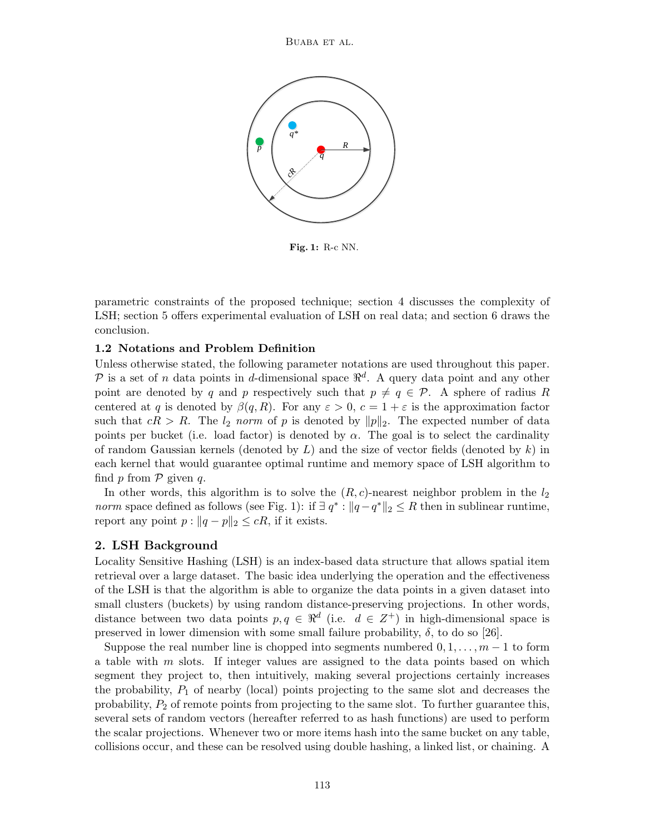

Fig. 1: R-c NN.

parametric constraints of the proposed technique; section 4 discusses the complexity of LSH; section 5 offers experimental evaluation of LSH on real data; and section 6 draws the conclusion.

# 1.2 Notations and Problem Definition

Unless otherwise stated, the following parameter notations are used throughout this paper. P is a set of n data points in d-dimensional space  $\mathbb{R}^d$ . A query data point and any other point are denoted by q and p respectively such that  $p \neq q \in \mathcal{P}$ . A sphere of radius R centered at q is denoted by  $\beta(q, R)$ . For any  $\varepsilon > 0$ ,  $c = 1 + \varepsilon$  is the approximation factor such that  $cR > R$ . The  $l_2$  norm of p is denoted by  $||p||_2$ . The expected number of data points per bucket (i.e. load factor) is denoted by  $\alpha$ . The goal is to select the cardinality of random Gaussian kernels (denoted by  $L$ ) and the size of vector fields (denoted by  $k$ ) in each kernel that would guarantee optimal runtime and memory space of LSH algorithm to find  $p$  from  $\mathcal P$  given  $q$ .

In other words, this algorithm is to solve the  $(R, c)$ -nearest neighbor problem in the  $l_2$ *norm* space defined as follows (see Fig. [1\)](#page-1-0): if  $\exists q^* : ||q - q^*||_2 \leq R$  then in sublinear runtime, report any point  $p : ||q - p||_2 \leq cR$ , if it exists.

# 2. LSH Background

Locality Sensitive Hashing (LSH) is an index-based data structure that allows spatial item retrieval over a large dataset. The basic idea underlying the operation and the effectiveness of the LSH is that the algorithm is able to organize the data points in a given dataset into small clusters (buckets) by using random distance-preserving projections. In other words, distance between two data points  $p, q \in \mathbb{R}^d$  (i.e.  $d \in \mathbb{Z}^+$ ) in high-dimensional space is preserved in lower dimension with some small failure probability,  $\delta$ , to do so [\[26\]](#page-11-5).

Suppose the real number line is chopped into segments numbered  $0, 1, \ldots, m-1$  to form a table with m slots. If integer values are assigned to the data points based on which segment they project to, then intuitively, making several projections certainly increases the probability,  $P_1$  of nearby (local) points projecting to the same slot and decreases the probability,  $P_2$  of remote points from projecting to the same slot. To further guarantee this, several sets of random vectors (hereafter referred to as hash functions) are used to perform the scalar projections. Whenever two or more items hash into the same bucket on any table, collisions occur, and these can be resolved using double hashing, a linked list, or chaining. A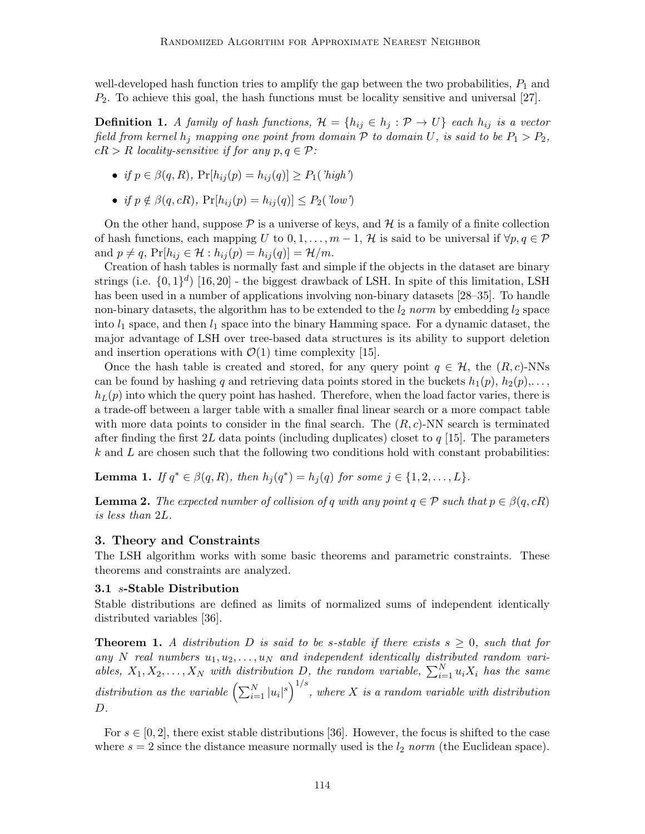well-developed hash function tries to amplify the gap between the two probabilities,  $P_1$  and  $P_2$ . To achieve this goal, the hash functions must be locality sensitive and universal [\[27\]](#page-11-6).

**Definition 1.** A family of hash functions,  $\mathcal{H} = \{h_{ij} \in h_j : \mathcal{P} \to U\}$  each  $h_{ij}$  is a vector field from kernel  $h_j$  mapping one point from domain  $P$  to domain U, is said to be  $P_1 > P_2$ ,  $cR > R$  locality-sensitive if for any  $p, q \in \mathcal{P}$ :

- if  $p \in \beta(q, R)$ ,  $Pr[h_{ij}(p) = h_{ij}(q)] \geq P_1(\lambda p)$
- if  $p \notin \beta(q, cR)$ ,  $Pr[h_{ij}(p) = h_{ij}(q)] \leq P_2(\textit{'low'})$

On the other hand, suppose  $P$  is a universe of keys, and  $H$  is a family of a finite collection of hash functions, each mapping U to  $0, 1, \ldots, m-1$ , H is said to be universal if  $\forall p, q \in \mathcal{P}$ and  $p \neq q$ ,  $Pr[h_{ij} \in \mathcal{H} : h_{ij}(p) = h_{ij}(q)] = \mathcal{H}/m$ .

Creation of hash tables is normally fast and simple if the objects in the dataset are binary strings (i.e.  $\{0,1\}$ <sup>d</sup>) [\[16,](#page-10-11)[20\]](#page-10-13) - the biggest drawback of LSH. In spite of this limitation, LSH has been used in a number of applications involving non-binary datasets [\[28–](#page-11-7)[35\]](#page-11-8). To handle non-binary datasets, the algorithm has to be extended to the  $l_2$  norm by embedding  $l_2$  space into  $l_1$  space, and then  $l_1$  space into the binary Hamming space. For a dynamic dataset, the major advantage of LSH over tree-based data structures is its ability to support deletion and insertion operations with  $\mathcal{O}(1)$  time complexity [\[15\]](#page-10-10).

Once the hash table is created and stored, for any query point  $q \in \mathcal{H}$ , the  $(R, c)$ -NNs can be found by hashing q and retrieving data points stored in the buckets  $h_1(p), h_2(p), \ldots$ ,  $h_L(p)$  into which the query point has hashed. Therefore, when the load factor varies, there is a trade-off between a larger table with a smaller final linear search or a more compact table with more data points to consider in the final search. The  $(R, c)$ -NN search is terminated after finding the first 2L data points (including duplicates) closet to  $q$  [\[15\]](#page-10-10). The parameters  $k$  and  $L$  are chosen such that the following two conditions hold with constant probabilities:

**Lemma 1.** If  $q^* \in \beta(q, R)$ , then  $h_j(q^*) = h_j(q)$  for some  $j \in \{1, 2, ..., L\}$ .

**Lemma 2.** The expected number of collision of q with any point  $q \in \mathcal{P}$  such that  $p \in \beta(q, cR)$ is less than 2L.

# 3. Theory and Constraints

The LSH algorithm works with some basic theorems and parametric constraints. These theorems and constraints are analyzed.

#### 3.1 s-Stable Distribution

Stable distributions are defined as limits of normalized sums of independent identically distributed variables [\[36\]](#page-11-9).

**Theorem 1.** A distribution D is said to be s-stable if there exists  $s \geq 0$ , such that for any N real numbers  $u_1, u_2, \ldots, u_N$  and independent identically distributed random variables,  $X_1, X_2, \ldots, X_N$  with distribution D, the random variable,  $\sum_{i=1}^N u_i X_i$  has the same distribution as the variable  $\left(\sum_{i=1}^N |u_i|^s\right)^{1/s}$ , where X is a random variable with distribution  $D.$ 

For  $s \in [0, 2]$ , there exist stable distributions [\[36\]](#page-11-9). However, the focus is shifted to the case where  $s = 2$  since the distance measure normally used is the  $l_2$  norm (the Euclidean space).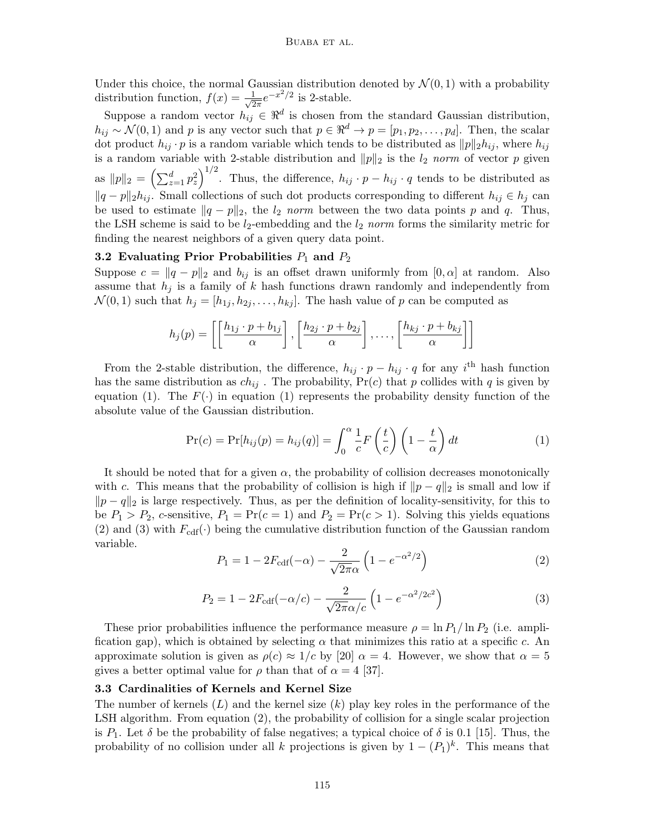Under this choice, the normal Gaussian distribution denoted by  $\mathcal{N}(0,1)$  with a probability distribution function,  $f(x) = \frac{1}{\sqrt{2}}$  $\frac{1}{2\pi}e^{-x^2/2}$  is 2-stable.

Suppose a random vector  $h_{ij} \in \mathbb{R}^d$  is chosen from the standard Gaussian distribution,  $h_{ij} \sim \mathcal{N}(0, 1)$  and p is any vector such that  $p \in \mathbb{R}^d \to p = [p_1, p_2, \dots, p_d]$ . Then, the scalar dot product  $h_{ij} \cdot p$  is a random variable which tends to be distributed as  $||p||_2 h_{ij}$ , where  $h_{ij}$ is a random variable with 2-stable distribution and  $||p||_2$  is the  $l_2$  norm of vector p given as  $||p||_2 = \left(\sum_{z=1}^d p_z^2\right)^{1/2}$ . Thus, the difference,  $h_{ij} \cdot p - h_{ij} \cdot q$  tends to be distributed as  $||q - p||_2 h_{ij}$ . Small collections of such dot products corresponding to different  $h_{ij} \in h_j$  can be used to estimate  $||q - p||_2$ , the  $l_2$  norm between the two data points p and q. Thus, the LSH scheme is said to be  $l_2$ -embedding and the  $l_2$  norm forms the similarity metric for finding the nearest neighbors of a given query data point.

#### 3.2 Evaluating Prior Probabilities  $P_1$  and  $P_2$

Suppose  $c = ||q - p||_2$  and  $b_{ij}$  is an offset drawn uniformly from [0,  $\alpha$ ] at random. Also assume that  $h_j$  is a family of k hash functions drawn randomly and independently from  $\mathcal{N}(0, 1)$  such that  $h_j = [h_{1j}, h_{2j}, \dots, h_{kj}]$ . The hash value of p can be computed as

$$
h_j(p) = \left[ \left[ \frac{h_{1j} \cdot p + b_{1j}}{\alpha} \right], \left[ \frac{h_{2j} \cdot p + b_{2j}}{\alpha} \right], \dots, \left[ \frac{h_{kj} \cdot p + b_{kj}}{\alpha} \right] \right]
$$

From the 2-stable distribution, the difference,  $h_{ij} \cdot p - h_{ij} \cdot q$  for any i<sup>th</sup> hash function has the same distribution as  $ch_{ij}$ . The probability,  $Pr(c)$  that p collides with q is given by equation [\(1\)](#page-4-0). The  $F(\cdot)$  in equation (1) represents the probability density function of the absolute value of the Gaussian distribution.

<span id="page-4-0"></span>
$$
\Pr(c) = \Pr[h_{ij}(p) = h_{ij}(q)] = \int_0^\alpha \frac{1}{c} F\left(\frac{t}{c}\right) \left(1 - \frac{t}{\alpha}\right) dt \tag{1}
$$

It should be noted that for a given  $\alpha$ , the probability of collision decreases monotonically with c. This means that the probability of collision is high if  $\|p - q\|_2$  is small and low if  $\|p - q\|_2$  is large respectively. Thus, as per the definition of locality-sensitivity, for this to be  $P_1 > P_2$ , c-sensitive,  $P_1 = \Pr(c = 1)$  and  $P_2 = \Pr(c > 1)$ . Solving this yields equations [\(2\)](#page-4-1) and [\(3\)](#page-4-2) with  $F_{\text{cdf}}(\cdot)$  being the cumulative distribution function of the Gaussian random variable.

<span id="page-4-1"></span>
$$
P_1 = 1 - 2F_{\text{cdf}}(-\alpha) - \frac{2}{\sqrt{2\pi}\alpha} \left( 1 - e^{-\alpha^2/2} \right)
$$
 (2)

$$
P_2 = 1 - 2F_{\text{cdf}}(-\alpha/c) - \frac{2}{\sqrt{2\pi}\alpha/c} \left(1 - e^{-\alpha^2/2c^2}\right)
$$
 (3)

<span id="page-4-2"></span>These prior probabilities influence the performance measure  $\rho = \ln P_1 / \ln P_2$  (i.e. amplification gap), which is obtained by selecting  $\alpha$  that minimizes this ratio at a specific c. An approximate solution is given as  $\rho(c) \approx 1/c$  by [\[20\]](#page-10-13)  $\alpha = 4$ . However, we show that  $\alpha = 5$ gives a better optimal value for  $\rho$  than that of  $\alpha = 4$  [\[37\]](#page-11-10).

#### 3.3 Cardinalities of Kernels and Kernel Size

The number of kernels  $(L)$  and the kernel size  $(k)$  play key roles in the performance of the LSH algorithm. From equation [\(2\)](#page-4-1), the probability of collision for a single scalar projection is  $P_1$ . Let  $\delta$  be the probability of false negatives; a typical choice of  $\delta$  is 0.1 [\[15\]](#page-10-10). Thus, the probability of no collision under all k projections is given by  $1 - (P_1)^k$ . This means that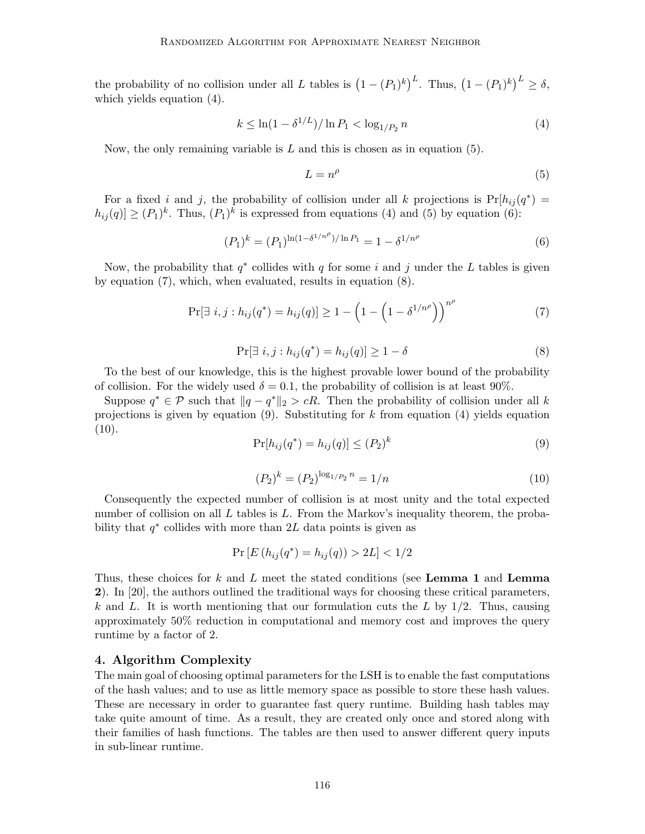the probability of no collision under all L tables is  $(1 - (P_1)^k)^L$ . Thus,  $(1 - (P_1)^k)^L \ge \delta$ , which yields equation [\(4\)](#page-5-0).

<span id="page-5-0"></span>
$$
k \le \ln(1 - \delta^{1/L}) / \ln P_1 < \log_{1/P_2} n \tag{4}
$$

Now, the only remaining variable is  $L$  and this is chosen as in equation [\(5\)](#page-5-1).

<span id="page-5-3"></span><span id="page-5-2"></span><span id="page-5-1"></span>
$$
L = n^{\rho} \tag{5}
$$

For a fixed i and j, the probability of collision under all k projections is  $Pr[h_{ij}(q^*)]$  $h_{ij}(q) \geq (P_1)^k$ . Thus,  $(P_1)^k$  is expressed from equations [\(4\)](#page-5-0) and [\(5\)](#page-5-1) by equation [\(6\)](#page-5-2):

$$
(P_1)^k = (P_1)^{\ln(1 - \delta^{1/n^{\rho}})/\ln P_1} = 1 - \delta^{1/n^{\rho}}
$$
\n(6)

Now, the probability that  $q^*$  collides with q for some i and j under the L tables is given by equation [\(7\)](#page-5-3), which, when evaluated, results in equation [\(8\)](#page-5-4).

$$
\Pr[\exists i, j : h_{ij}(q^*) = h_{ij}(q)] \ge 1 - \left(1 - \left(1 - \delta^{1/n^{\rho}}\right)\right)^{n^{\rho}} \tag{7}
$$

$$
\Pr[\exists i, j : h_{ij}(q^*) = h_{ij}(q)] \ge 1 - \delta \tag{8}
$$

<span id="page-5-4"></span>To the best of our knowledge, this is the highest provable lower bound of the probability of collision. For the widely used  $\delta = 0.1$ , the probability of collision is at least 90%.

<span id="page-5-5"></span>Suppose  $q^* \in \mathcal{P}$  such that  $||q - q^*||_2 > cR$ . Then the probability of collision under all k projections is given by equation [\(9\)](#page-5-5). Substituting for k from equation [\(4\)](#page-5-0) yields equation  $(10).$  $(10).$ 

$$
\Pr[h_{ij}(q^*) = h_{ij}(q)] \le (P_2)^k \tag{9}
$$

$$
(P_2)^k = (P_2)^{\log_{1/P_2} n} = 1/n \tag{10}
$$

<span id="page-5-6"></span>Consequently the expected number of collision is at most unity and the total expected number of collision on all  $L$  tables is  $L$ . From the Markov's inequality theorem, the probability that  $q^*$  collides with more than 2L data points is given as

$$
Pr[E(h_{ij}(q^*) = h_{ij}(q)) > 2L] < 1/2
$$

Thus, these choices for  $k$  and  $L$  meet the stated conditions (see Lemma 1 and Lemma 2). In [\[20\]](#page-10-13), the authors outlined the traditional ways for choosing these critical parameters, k and L. It is worth mentioning that our formulation cuts the L by  $1/2$ . Thus, causing approximately 50% reduction in computational and memory cost and improves the query runtime by a factor of 2.

#### 4. Algorithm Complexity

The main goal of choosing optimal parameters for the LSH is to enable the fast computations of the hash values; and to use as little memory space as possible to store these hash values. These are necessary in order to guarantee fast query runtime. Building hash tables may take quite amount of time. As a result, they are created only once and stored along with their families of hash functions. The tables are then used to answer different query inputs in sub-linear runtime.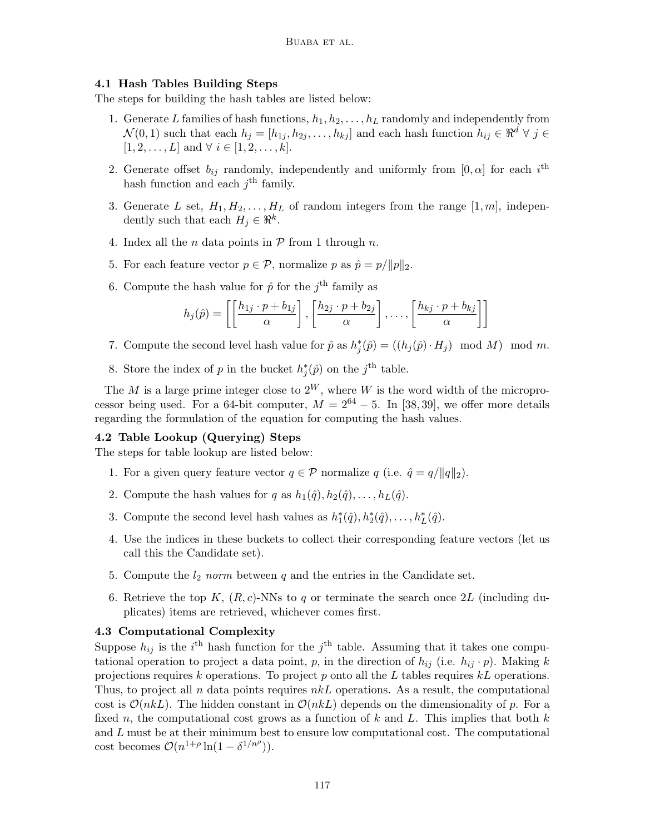# 4.1 Hash Tables Building Steps

The steps for building the hash tables are listed below:

- 1. Generate L families of hash functions,  $h_1, h_2, \ldots, h_L$  randomly and independently from  $\mathcal{N}(0,1)$  such that each  $h_j = [h_{1j}, h_{2j}, \ldots, h_{kj}]$  and each hash function  $h_{ij} \in \mathbb{R}^d \forall j \in$  $[1, 2, \ldots, L]$  and  $\forall i \in [1, 2, \ldots, k]$ .
- 2. Generate offset  $b_{ij}$  randomly, independently and uniformly from  $[0, \alpha]$  for each  $i^{\text{th}}$ hash function and each  $j^{\text{th}}$  family.
- 3. Generate L set,  $H_1, H_2, \ldots, H_L$  of random integers from the range  $[1, m]$ , independently such that each  $H_j \in \mathbb{R}^k$ .
- 4. Index all the *n* data points in  $P$  from 1 through *n*.
- 5. For each feature vector  $p \in \mathcal{P}$ , normalize p as  $\hat{p} = p / ||p||_2$ .
- 6. Compute the hash value for  $\hat{p}$  for the j<sup>th</sup> family as

$$
h_j(\hat{p}) = \left[ \left[ \frac{h_{1j} \cdot p + b_{1j}}{\alpha} \right], \left[ \frac{h_{2j} \cdot p + b_{2j}}{\alpha} \right], \dots, \left[ \frac{h_{kj} \cdot p + b_{kj}}{\alpha} \right] \right]
$$

- 7. Compute the second level hash value for  $\hat{p}$  as  $h_j^*(\hat{p}) = ((h_j(\hat{p}) \cdot H_j) \mod M) \mod m$ .
- 8. Store the index of p in the bucket  $h_j^*(\hat{p})$  on the j<sup>th</sup> table.

The M is a large prime integer close to  $2^W$ , where W is the word width of the microprocessor being used. For a 64-bit computer,  $M = 2^{64} - 5$ . In [\[38,](#page-11-11) [39\]](#page-11-12), we offer more details regarding the formulation of the equation for computing the hash values.

# 4.2 Table Lookup (Querying) Steps

The steps for table lookup are listed below:

- 1. For a given query feature vector  $q \in \mathcal{P}$  normalize q (i.e.  $\hat{q} = q/||q||_2$ ).
- 2. Compute the hash values for q as  $h_1(\hat{q}), h_2(\hat{q}), \ldots, h_L(\hat{q})$ .
- 3. Compute the second level hash values as  $h_1^*(\hat{q}), h_2^*(\hat{q}), \ldots, h_L^*(\hat{q})$ .
- 4. Use the indices in these buckets to collect their corresponding feature vectors (let us call this the Candidate set).
- 5. Compute the  $l_2$  norm between q and the entries in the Candidate set.
- 6. Retrieve the top K,  $(R, c)$ -NNs to q or terminate the search once 2L (including duplicates) items are retrieved, whichever comes first.

# 4.3 Computational Complexity

Suppose  $h_{ij}$  is the i<sup>th</sup> hash function for the j<sup>th</sup> table. Assuming that it takes one computational operation to project a data point, p, in the direction of  $h_{ij}$  (i.e.  $h_{ij} \cdot p$ ). Making k projections requires k operations. To project p onto all the L tables requires  $kL$  operations. Thus, to project all n data points requires  $nkL$  operations. As a result, the computational cost is  $\mathcal{O}(nkL)$ . The hidden constant in  $\mathcal{O}(nkL)$  depends on the dimensionality of p. For a fixed n, the computational cost grows as a function of k and L. This implies that both  $k$ and  $L$  must be at their minimum best to ensure low computational cost. The computational cost becomes  $\mathcal{O}(n^{1+\rho}\ln(1-\delta^{1/n^{\rho}})).$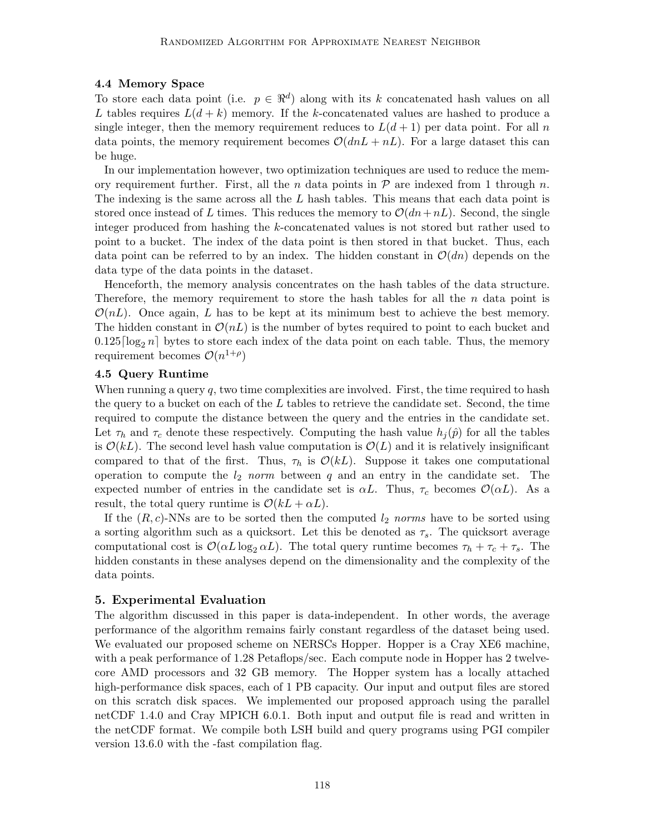# 4.4 Memory Space

To store each data point (i.e.  $p \in \mathbb{R}^d$ ) along with its k concatenated hash values on all L tables requires  $L(d + k)$  memory. If the k-concatenated values are hashed to produce a single integer, then the memory requirement reduces to  $L(d+1)$  per data point. For all n data points, the memory requirement becomes  $\mathcal{O}(dnL + nL)$ . For a large dataset this can be huge.

In our implementation however, two optimization techniques are used to reduce the memory requirement further. First, all the n data points in  $\mathcal P$  are indexed from 1 through n. The indexing is the same across all the  $L$  hash tables. This means that each data point is stored once instead of L times. This reduces the memory to  $\mathcal{O}(dn+nL)$ . Second, the single integer produced from hashing the k-concatenated values is not stored but rather used to point to a bucket. The index of the data point is then stored in that bucket. Thus, each data point can be referred to by an index. The hidden constant in  $\mathcal{O}(dn)$  depends on the data type of the data points in the dataset.

Henceforth, the memory analysis concentrates on the hash tables of the data structure. Therefore, the memory requirement to store the hash tables for all the  $n$  data point is  $\mathcal{O}(nL)$ . Once again, L has to be kept at its minimum best to achieve the best memory. The hidden constant in  $\mathcal{O}(nL)$  is the number of bytes required to point to each bucket and  $0.125\lceil \log_2 n \rceil$  bytes to store each index of the data point on each table. Thus, the memory requirement becomes  $\mathcal{O}(n^{1+\rho})$ 

#### 4.5 Query Runtime

When running a query  $q$ , two time complexities are involved. First, the time required to hash the query to a bucket on each of the  $L$  tables to retrieve the candidate set. Second, the time required to compute the distance between the query and the entries in the candidate set. Let  $\tau_h$  and  $\tau_c$  denote these respectively. Computing the hash value  $h_i(\hat{p})$  for all the tables is  $\mathcal{O}(kL)$ . The second level hash value computation is  $\mathcal{O}(L)$  and it is relatively insignificant compared to that of the first. Thus,  $\tau_h$  is  $\mathcal{O}(kL)$ . Suppose it takes one computational operation to compute the  $l_2$  norm between q and an entry in the candidate set. The expected number of entries in the candidate set is  $\alpha L$ . Thus,  $\tau_c$  becomes  $\mathcal{O}(\alpha L)$ . As a result, the total query runtime is  $\mathcal{O}(kL + \alpha L)$ .

If the  $(R, c)$ -NNs are to be sorted then the computed  $l_2$  norms have to be sorted using a sorting algorithm such as a quicksort. Let this be denoted as  $\tau_s$ . The quicksort average computational cost is  $\mathcal{O}(\alpha L \log_2 \alpha L)$ . The total query runtime becomes  $\tau_h + \tau_c + \tau_s$ . The hidden constants in these analyses depend on the dimensionality and the complexity of the data points.

# <span id="page-7-0"></span>5. Experimental Evaluation

The algorithm discussed in this paper is data-independent. In other words, the average performance of the algorithm remains fairly constant regardless of the dataset being used. We evaluated our proposed scheme on NERSCs Hopper. Hopper is a Cray XE6 machine, with a peak performance of 1.28 Petaflops/sec. Each compute node in Hopper has 2 twelvecore AMD processors and 32 GB memory. The Hopper system has a locally attached high-performance disk spaces, each of 1 PB capacity. Our input and output files are stored on this scratch disk spaces. We implemented our proposed approach using the parallel netCDF 1.4.0 and Cray MPICH 6.0.1. Both input and output file is read and written in the netCDF format. We compile both LSH build and query programs using PGI compiler version 13.6.0 with the -fast compilation flag.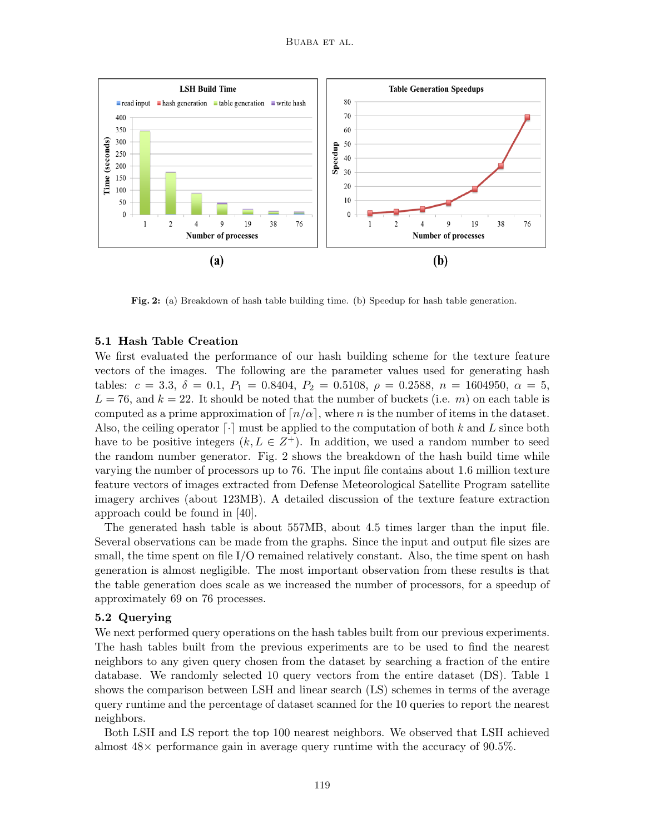

Fig. 2: (a) Breakdown of hash table building time. (b) Speedup for hash table generation.

#### 5.1 Hash Table Creation

We first evaluated the performance of our hash building scheme for the texture feature vectors of the images. The following are the parameter values used for generating hash tables:  $c = 3.3$ ,  $\delta = 0.1$ ,  $P_1 = 0.8404$ ,  $P_2 = 0.5108$ ,  $\rho = 0.2588$ ,  $n = 1604950$ ,  $\alpha = 5$ ,  $L = 76$ , and  $k = 22$ . It should be noted that the number of buckets (i.e. m) on each table is computed as a prime approximation of  $n/\alpha$ , where n is the number of items in the dataset. Also, the ceiling operator  $\lceil \cdot \rceil$  must be applied to the computation of both k and L since both have to be positive integers  $(k, L \in \mathbb{Z}^+)$ . In addition, we used a random number to seed the random number generator. Fig. [2](#page-7-0) shows the breakdown of the hash build time while varying the number of processors up to 76. The input file contains about 1.6 million texture feature vectors of images extracted from Defense Meteorological Satellite Program satellite imagery archives (about 123MB). A detailed discussion of the texture feature extraction approach could be found in [\[40\]](#page-11-13).

The generated hash table is about 557MB, about 4.5 times larger than the input file. Several observations can be made from the graphs. Since the input and output file sizes are small, the time spent on file I/O remained relatively constant. Also, the time spent on hash generation is almost negligible. The most important observation from these results is that the table generation does scale as we increased the number of processors, for a speedup of approximately 69 on 76 processes.

#### <span id="page-8-0"></span>5.2 Querying

We next performed query operations on the hash tables built from our previous experiments. The hash tables built from the previous experiments are to be used to find the nearest neighbors to any given query chosen from the dataset by searching a fraction of the entire database. We randomly selected 10 query vectors from the entire dataset (DS). Table [1](#page-8-0) shows the comparison between LSH and linear search (LS) schemes in terms of the average query runtime and the percentage of dataset scanned for the 10 queries to report the nearest neighbors.

Both LSH and LS report the top 100 nearest neighbors. We observed that LSH achieved almost  $48\times$  performance gain in average query runtime with the accuracy of 90.5%.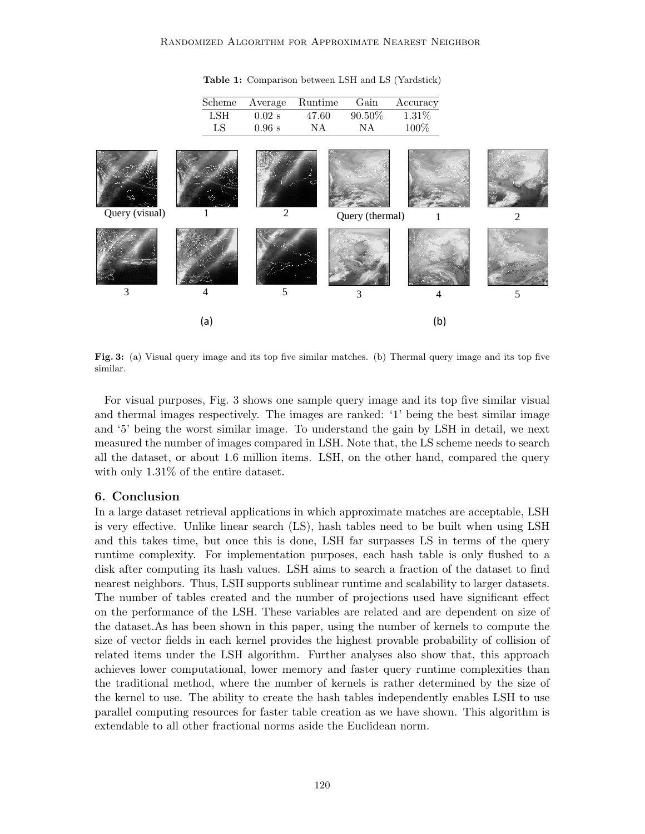

Table 1: Comparison between LSH and LS (Yardstick)

Fig. 3: (a) Visual query image and its top five similar matches. (b) Thermal query image and its top five similar.

For visual purposes, Fig. [3](#page-8-0) shows one sample query image and its top five similar visual and thermal images respectively. The images are ranked: '1' being the best similar image and '5' being the worst similar image. To understand the gain by LSH in detail, we next measured the number of images compared in LSH. Note that, the LS scheme needs to search all the dataset, or about 1.6 million items. LSH, on the other hand, compared the query with only 1.31% of the entire dataset.

#### 6. Conclusion

In a large dataset retrieval applications in which approximate matches are acceptable, LSH is very effective. Unlike linear search (LS), hash tables need to be built when using LSH and this takes time, but once this is done, LSH far surpasses LS in terms of the query runtime complexity. For implementation purposes, each hash table is only flushed to a disk after computing its hash values. LSH aims to search a fraction of the dataset to find nearest neighbors. Thus, LSH supports sublinear runtime and scalability to larger datasets. The number of tables created and the number of projections used have significant effect on the performance of the LSH. These variables are related and are dependent on size of the dataset.As has been shown in this paper, using the number of kernels to compute the size of vector fields in each kernel provides the highest provable probability of collision of related items under the LSH algorithm. Further analyses also show that, this approach achieves lower computational, lower memory and faster query runtime complexities than the traditional method, where the number of kernels is rather determined by the size of the kernel to use. The ability to create the hash tables independently enables LSH to use parallel computing resources for faster table creation as we have shown. This algorithm is extendable to all other fractional norms aside the Euclidean norm.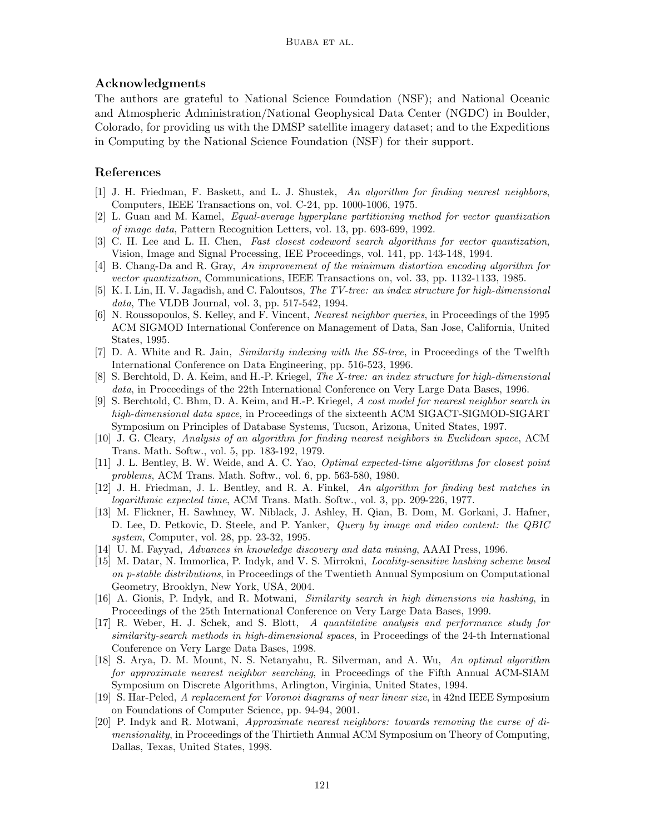# Acknowledgments

The authors are grateful to National Science Foundation (NSF); and National Oceanic and Atmospheric Administration/National Geophysical Data Center (NGDC) in Boulder, Colorado, for providing us with the DMSP satellite imagery dataset; and to the Expeditions in Computing by the National Science Foundation (NSF) for their support.

# References

- <span id="page-10-0"></span>[1] J. H. Friedman, F. Baskett, and L. J. Shustek, An algorithm for finding nearest neighbors, Computers, IEEE Transactions on, vol. C-24, pp. 1000-1006, 1975.
- [2] L. Guan and M. Kamel, Equal-average hyperplane partitioning method for vector quantization of image data, Pattern Recognition Letters, vol. 13, pp. 693-699, 1992.
- <span id="page-10-1"></span>[3] C. H. Lee and L. H. Chen, Fast closest codeword search algorithms for vector quantization, Vision, Image and Signal Processing, IEE Proceedings, vol. 141, pp. 143-148, 1994.
- <span id="page-10-2"></span>[4] B. Chang-Da and R. Gray, An improvement of the minimum distortion encoding algorithm for vector quantization, Communications, IEEE Transactions on, vol. 33, pp. 1132-1133, 1985.
- <span id="page-10-3"></span>[5] K. I. Lin, H. V. Jagadish, and C. Faloutsos, The TV-tree: an index structure for high-dimensional data, The VLDB Journal, vol. 3, pp. 517-542, 1994.
- [6] N. Roussopoulos, S. Kelley, and F. Vincent, Nearest neighbor queries, in Proceedings of the 1995 ACM SIGMOD International Conference on Management of Data, San Jose, California, United States, 1995.
- [7] D. A. White and R. Jain, Similarity indexing with the SS-tree, in Proceedings of the Twelfth International Conference on Data Engineering, pp. 516-523, 1996.
- [8] S. Berchtold, D. A. Keim, and H.-P. Kriegel, The X-tree: an index structure for high-dimensional data, in Proceedings of the 22th International Conference on Very Large Data Bases, 1996.
- <span id="page-10-4"></span>[9] S. Berchtold, C. Bhm, D. A. Keim, and H.-P. Kriegel, A cost model for nearest neighbor search in high-dimensional data space, in Proceedings of the sixteenth ACM SIGACT-SIGMOD-SIGART Symposium on Principles of Database Systems, Tucson, Arizona, United States, 1997.
- <span id="page-10-5"></span>[10] J. G. Cleary, Analysis of an algorithm for finding nearest neighbors in Euclidean space, ACM Trans. Math. Softw., vol. 5, pp. 183-192, 1979.
- <span id="page-10-6"></span>[11] J. L. Bentley, B. W. Weide, and A. C. Yao, Optimal expected-time algorithms for closest point problems, ACM Trans. Math. Softw., vol. 6, pp. 563-580, 1980.
- <span id="page-10-7"></span>[12] J. H. Friedman, J. L. Bentley, and R. A. Finkel, An algorithm for finding best matches in logarithmic expected time, ACM Trans. Math. Softw., vol. 3, pp. 209-226, 1977.
- <span id="page-10-8"></span>[13] M. Flickner, H. Sawhney, W. Niblack, J. Ashley, H. Qian, B. Dom, M. Gorkani, J. Hafner, D. Lee, D. Petkovic, D. Steele, and P. Yanker, Query by image and video content: the QBIC system, Computer, vol. 28, pp. 23-32, 1995.
- <span id="page-10-9"></span>[14] U. M. Fayyad, Advances in knowledge discovery and data mining, AAAI Press, 1996.
- <span id="page-10-10"></span>[15] M. Datar, N. Immorlica, P. Indyk, and V. S. Mirrokni, Locality-sensitive hashing scheme based on p-stable distributions, in Proceedings of the Twentieth Annual Symposium on Computational Geometry, Brooklyn, New York, USA, 2004.
- <span id="page-10-11"></span>[16] A. Gionis, P. Indyk, and R. Motwani, Similarity search in high dimensions via hashing, in Proceedings of the 25th International Conference on Very Large Data Bases, 1999.
- <span id="page-10-12"></span>[17] R. Weber, H. J. Schek, and S. Blott, A quantitative analysis and performance study for similarity-search methods in high-dimensional spaces, in Proceedings of the 24-th International Conference on Very Large Data Bases, 1998.
- [18] S. Arya, D. M. Mount, N. S. Netanyahu, R. Silverman, and A. Wu, An optimal algorithm for approximate nearest neighbor searching, in Proceedings of the Fifth Annual ACM-SIAM Symposium on Discrete Algorithms, Arlington, Virginia, United States, 1994.
- [19] S. Har-Peled, A replacement for Voronoi diagrams of near linear size, in 42nd IEEE Symposium on Foundations of Computer Science, pp. 94-94, 2001.
- <span id="page-10-13"></span>[20] P. Indyk and R. Motwani, Approximate nearest neighbors: towards removing the curse of dimensionality, in Proceedings of the Thirtieth Annual ACM Symposium on Theory of Computing, Dallas, Texas, United States, 1998.